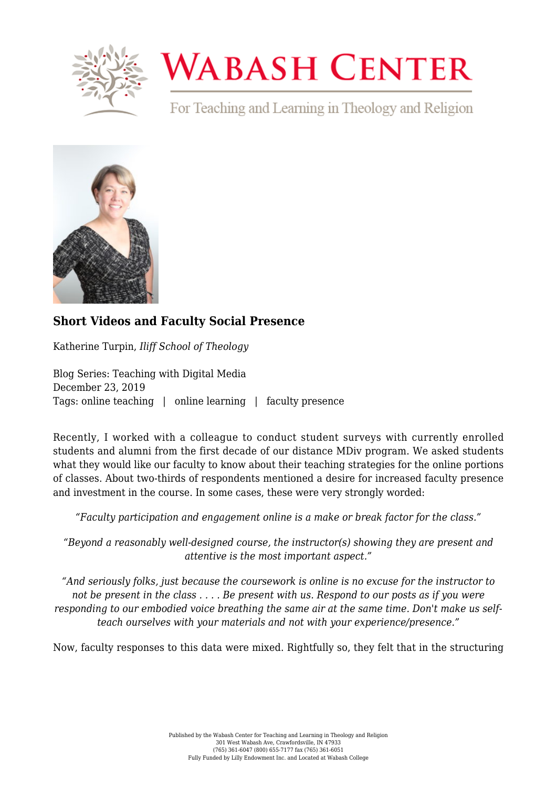

## **WABASH CENTER**

For Teaching and Learning in Theology and Religion



## **[Short Videos and Faculty Social Presence](https://www.wabashcenter.wabash.edu/2019/12/short-videos-and-faculty-social-presence/)**

Katherine Turpin, *Iliff School of Theology*

Blog Series: Teaching with Digital Media December 23, 2019 Tags: online teaching | online learning | faculty presence

Recently, I worked with a colleague to conduct student surveys with currently enrolled students and alumni from the first decade of our distance MDiv program. We asked students what they would like our faculty to know about their teaching strategies for the online portions of classes. About two-thirds of respondents mentioned a desire for increased faculty presence and investment in the course. In some cases, these were very strongly worded:

*"Faculty participation and engagement online is a make or break factor for the class."*

*"Beyond a reasonably well-designed course, the instructor(s) showing they are present and attentive is the most important aspect."*

*"And seriously folks, just because the coursework is online is no excuse for the instructor to not be present in the class . . . . Be present with us. Respond to our posts as if you were responding to our embodied voice breathing the same air at the same time. Don't make us selfteach ourselves with your materials and not with your experience/presence."*

Now, faculty responses to this data were mixed. Rightfully so, they felt that in the structuring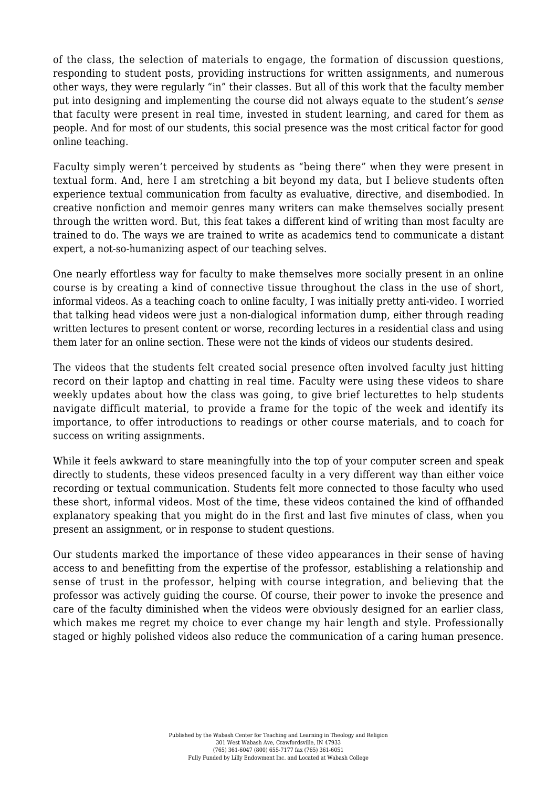of the class, the selection of materials to engage, the formation of discussion questions, responding to student posts, providing instructions for written assignments, and numerous other ways, they were regularly "in" their classes. But all of this work that the faculty member put into designing and implementing the course did not always equate to the student's *sense* that faculty were present in real time, invested in student learning, and cared for them as people. And for most of our students, this social presence was the most critical factor for good online teaching.

Faculty simply weren't perceived by students as "being there" when they were present in textual form. And, here I am stretching a bit beyond my data, but I believe students often experience textual communication from faculty as evaluative, directive, and disembodied. In creative nonfiction and memoir genres many writers can make themselves socially present through the written word. But, this feat takes a different kind of writing than most faculty are trained to do. The ways we are trained to write as academics tend to communicate a distant expert, a not-so-humanizing aspect of our teaching selves.

One nearly effortless way for faculty to make themselves more socially present in an online course is by creating a kind of connective tissue throughout the class in the use of short, informal videos. As a teaching coach to online faculty, I was initially pretty anti-video. I worried that talking head videos were just a non-dialogical information dump, either through reading written lectures to present content or worse, recording lectures in a residential class and using them later for an online section. These were not the kinds of videos our students desired.

The videos that the students felt created social presence often involved faculty just hitting record on their laptop and chatting in real time. Faculty were using these videos to share weekly updates about how the class was going, to give brief lecturettes to help students navigate difficult material, to provide a frame for the topic of the week and identify its importance, to offer introductions to readings or other course materials, and to coach for success on writing assignments.

While it feels awkward to stare meaningfully into the top of your computer screen and speak directly to students, these videos presenced faculty in a very different way than either voice recording or textual communication. Students felt more connected to those faculty who used these short, informal videos. Most of the time, these videos contained the kind of offhanded explanatory speaking that you might do in the first and last five minutes of class, when you present an assignment, or in response to student questions.

Our students marked the importance of these video appearances in their sense of having access to and benefitting from the expertise of the professor, establishing a relationship and sense of trust in the professor, helping with course integration, and believing that the professor was actively guiding the course. Of course, their power to invoke the presence and care of the faculty diminished when the videos were obviously designed for an earlier class, which makes me regret my choice to ever change my hair length and style. Professionally staged or highly polished videos also reduce the communication of a caring human presence.